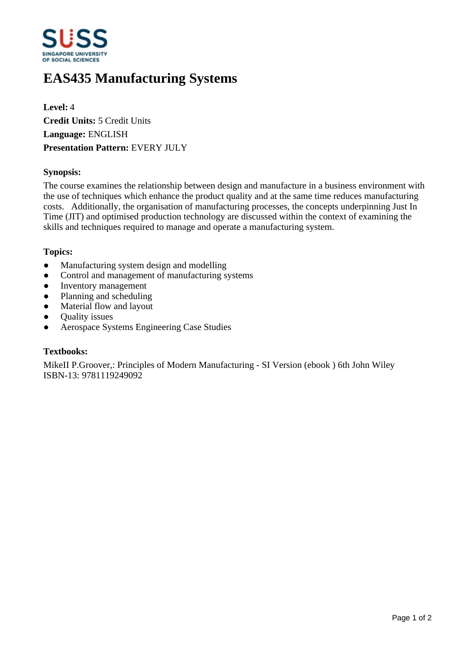

# **EAS435 Manufacturing Systems**

**Level:** 4 **Credit Units:** 5 Credit Units **Language:** ENGLISH **Presentation Pattern:** EVERY JULY

## **Synopsis:**

The course examines the relationship between design and manufacture in a business environment with the use of techniques which enhance the product quality and at the same time reduces manufacturing costs. Additionally, the organisation of manufacturing processes, the concepts underpinning Just In Time (JIT) and optimised production technology are discussed within the context of examining the skills and techniques required to manage and operate a manufacturing system.

### **Topics:**

- Manufacturing system design and modelling
- Control and management of manufacturing systems
- Inventory management
- Planning and scheduling
- Material flow and layout
- Quality issues
- Aerospace Systems Engineering Case Studies

### **Textbooks:**

MikeII P.Groover,: Principles of Modern Manufacturing - SI Version (ebook ) 6th John Wiley ISBN-13: 9781119249092